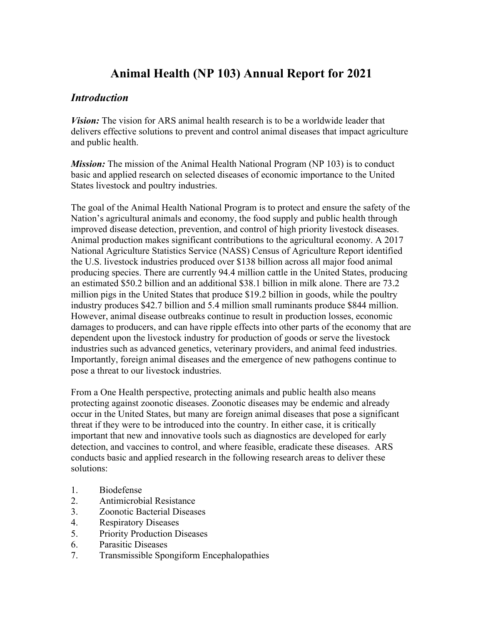# **Animal Health (NP 103) Annual Report for 2021**

## *Introduction*

*Vision:* The vision for ARS animal health research is to be a worldwide leader that delivers effective solutions to prevent and control animal diseases that impact agriculture and public health.

*Mission:* The mission of the Animal Health National Program (NP 103) is to conduct basic and applied research on selected diseases of economic importance to the United States livestock and poultry industries.

The goal of the Animal Health National Program is to protect and ensure the safety of the Nation's agricultural animals and economy, the food supply and public health through improved disease detection, prevention, and control of high priority livestock diseases. Animal production makes significant contributions to the agricultural economy. A 2017 National Agriculture Statistics Service (NASS) Census of Agriculture Report identified the U.S. livestock industries produced over \$138 billion across all major food animal producing species. There are currently 94.4 million cattle in the United States, producing an estimated \$50.2 billion and an additional \$38.1 billion in milk alone. There are 73.2 million pigs in the United States that produce \$19.2 billion in goods, while the poultry industry produces \$42.7 billion and 5.4 million small ruminants produce \$844 million. However, animal disease outbreaks continue to result in production losses, economic damages to producers, and can have ripple effects into other parts of the economy that are dependent upon the livestock industry for production of goods or serve the livestock industries such as advanced genetics, veterinary providers, and animal feed industries. Importantly, foreign animal diseases and the emergence of new pathogens continue to pose a threat to our livestock industries.

From a One Health perspective, protecting animals and public health also means protecting against zoonotic diseases. Zoonotic diseases may be endemic and already occur in the United States, but many are foreign animal diseases that pose a significant threat if they were to be introduced into the country. In either case, it is critically important that new and innovative tools such as diagnostics are developed for early detection, and vaccines to control, and where feasible, eradicate these diseases. ARS conducts basic and applied research in the following research areas to deliver these solutions:

- 1. Biodefense
- 2. Antimicrobial Resistance
- 3. Zoonotic Bacterial Diseases
- 4. Respiratory Diseases
- 5. Priority Production Diseases
- 6. Parasitic Diseases
- 7. Transmissible Spongiform Encephalopathies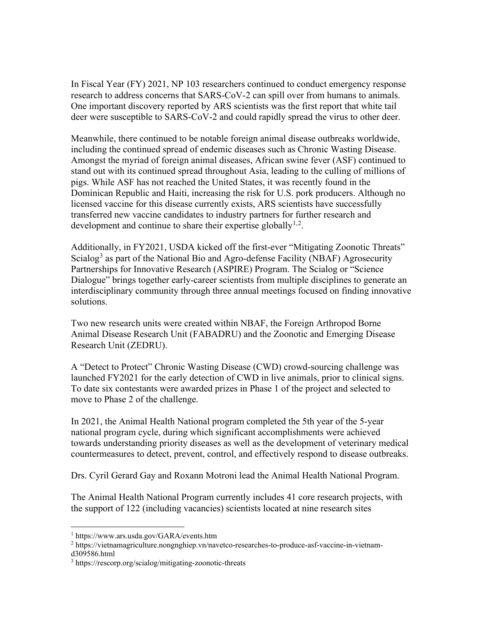In Fiscal Year (FY) 2021, NP 103 researchers continued to conduct emergency response research to address concerns that SARS-CoV-2 can spill over from humans to animals. One important discovery reported by ARS scientists was the first report that white tail deer were susceptible to SARS-CoV-2 and could rapidly spread the virus to other deer.

Meanwhile, there continued to be notable foreign animal disease outbreaks worldwide, including the continued spread of endemic diseases such as Chronic Wasting Disease. Amongst the myriad of foreign animal diseases, African swine fever (ASF) continued to stand out with its continued spread throughout Asia, leading to the culling of millions of pigs. While ASF has not reached the United States, it was recently found in the Dominican Republic and Haiti, increasing the risk for U.S. pork producers. Although no licensed vaccine for this disease currently exists, ARS scientists have successfully transferred new vaccine candidates to industry partners for further research and development and continue to share their expertise globally $1,2$  $1,2$  $1,2$ .

Additionally, in FY2021, USDA kicked off the first-ever "Mitigating Zoonotic Threats" Scialog<sup>[3](#page-1-2)</sup> as part of the National Bio and Agro-defense Facility (NBAF) Agrosecurity Partnerships for Innovative Research (ASPIRE) Program. The Scialog or "Science Dialogue" brings together early-career scientists from multiple disciplines to generate an interdisciplinary community through three annual meetings focused on finding innovative solutions.

Two new research units were created within NBAF, the Foreign Arthropod Borne Animal Disease Research Unit (FABADRU) and the Zoonotic and Emerging Disease Research Unit (ZEDRU).

A "Detect to Protect" Chronic Wasting Disease (CWD) crowd-sourcing challenge was launched FY2021 for the early detection of CWD in live animals, prior to clinical signs. To date six contestants were awarded prizes in Phase 1 of the project and selected to move to Phase 2 of the challenge.

In 2021, the Animal Health National program completed the 5th year of the 5-year national program cycle, during which significant accomplishments were achieved towards understanding priority diseases as well as the development of veterinary medical countermeasures to detect, prevent, control, and effectively respond to disease outbreaks.

Drs. Cyril Gerard Gay and Roxann Motroni lead the Animal Health National Program.

The Animal Health National Program currently includes 41 core research projects, with the support of 122 (including vacancies) scientists located at nine research sites

<sup>1</sup> https://www.ars.usda.gov/GARA/events.htm

<span id="page-1-1"></span><span id="page-1-0"></span><sup>2</sup> https://vietnamagriculture.nongnghiep.vn/navetco-researches-to-produce-asf-vaccine-in-vietnamd309586.html

<span id="page-1-2"></span><sup>3</sup> https://rescorp.org/scialog/mitigating-zoonotic-threats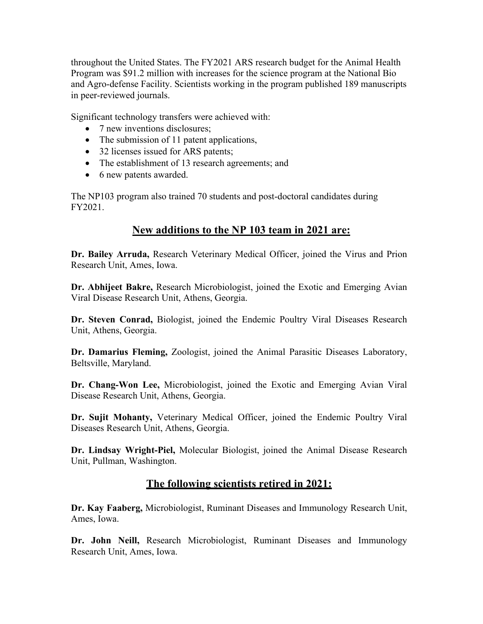throughout the United States. The FY2021 ARS research budget for the Animal Health Program was \$91.2 million with increases for the science program at the National Bio and Agro-defense Facility. Scientists working in the program published 189 manuscripts in peer-reviewed journals.

Significant technology transfers were achieved with:

- 7 new inventions disclosures;
- The submission of 11 patent applications,
- 32 licenses issued for ARS patents;
- The establishment of 13 research agreements; and
- 6 new patents awarded.

The NP103 program also trained 70 students and post-doctoral candidates during FY2021.

## **New additions to the NP 103 team in 2021 are:**

**Dr. Bailey Arruda,** Research Veterinary Medical Officer, joined the Virus and Prion Research Unit, Ames, Iowa.

**Dr. Abhijeet Bakre,** Research Microbiologist, joined the Exotic and Emerging Avian Viral Disease Research Unit, Athens, Georgia.

**Dr. Steven Conrad,** Biologist, joined the Endemic Poultry Viral Diseases Research Unit, Athens, Georgia.

**Dr. Damarius Fleming,** Zoologist, joined the Animal Parasitic Diseases Laboratory, Beltsville, Maryland.

**Dr. Chang-Won Lee,** Microbiologist, joined the Exotic and Emerging Avian Viral Disease Research Unit, Athens, Georgia.

**Dr. Sujit Mohanty,** Veterinary Medical Officer, joined the Endemic Poultry Viral Diseases Research Unit, Athens, Georgia.

**Dr. Lindsay Wright-Piel,** Molecular Biologist, joined the Animal Disease Research Unit, Pullman, Washington.

## **The following scientists retired in 2021:**

**Dr. Kay Faaberg,** Microbiologist, Ruminant Diseases and Immunology Research Unit, Ames, Iowa.

**Dr. John Neill,** Research Microbiologist, Ruminant Diseases and Immunology Research Unit, Ames, Iowa.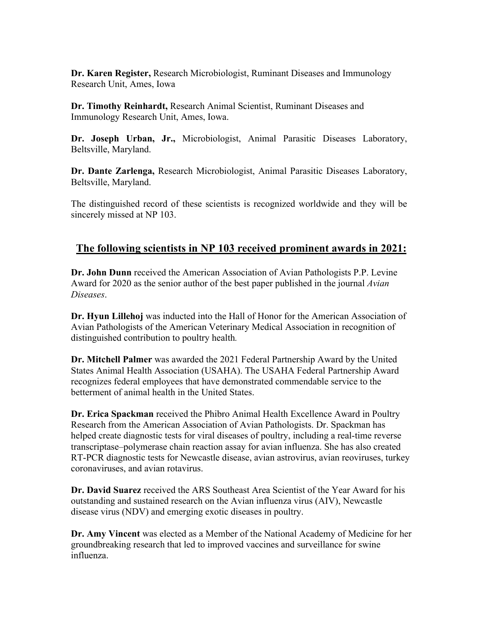**Dr. Karen Register,** Research Microbiologist, Ruminant Diseases and Immunology Research Unit, Ames, Iowa

**Dr. Timothy Reinhardt,** Research Animal Scientist, Ruminant Diseases and Immunology Research Unit, Ames, Iowa.

**Dr. Joseph Urban, Jr.,** Microbiologist, Animal Parasitic Diseases Laboratory, Beltsville, Maryland.

**Dr. Dante Zarlenga,** Research Microbiologist, Animal Parasitic Diseases Laboratory, Beltsville, Maryland.

The distinguished record of these scientists is recognized worldwide and they will be sincerely missed at NP 103.

## **The following scientists in NP 103 received prominent awards in 2021:**

**Dr. John Dunn** received the American Association of Avian Pathologists P.P. Levine Award for 2020 as the senior author of the best paper published in the journal *Avian Diseases*.

**Dr. Hyun Lillehoj** was inducted into the Hall of Honor for the American Association of Avian Pathologists of the American Veterinary Medical Association in recognition of distinguished contribution to poultry health*.*

**Dr. Mitchell Palmer** was awarded the 2021 Federal Partnership Award by the United States Animal Health Association (USAHA). The USAHA Federal Partnership Award recognizes federal employees that have demonstrated commendable service to the betterment of animal health in the United States.

**Dr. Erica Spackman** received the Phibro Animal Health Excellence Award in Poultry Research from the American Association of Avian Pathologists. Dr. Spackman has helped create diagnostic tests for viral diseases of poultry, including a real-time reverse transcriptase–polymerase chain reaction assay for avian influenza. She has also created RT-PCR diagnostic tests for Newcastle disease, avian astrovirus, avian reoviruses, turkey coronaviruses, and avian rotavirus.

**Dr. David Suarez** received the ARS Southeast Area Scientist of the Year Award for his outstanding and sustained research on the Avian influenza virus (AIV), Newcastle disease virus (NDV) and emerging exotic diseases in poultry.

**Dr. Amy Vincent** was elected as a Member of the National Academy of Medicine for her groundbreaking research that led to improved vaccines and surveillance for swine influenza.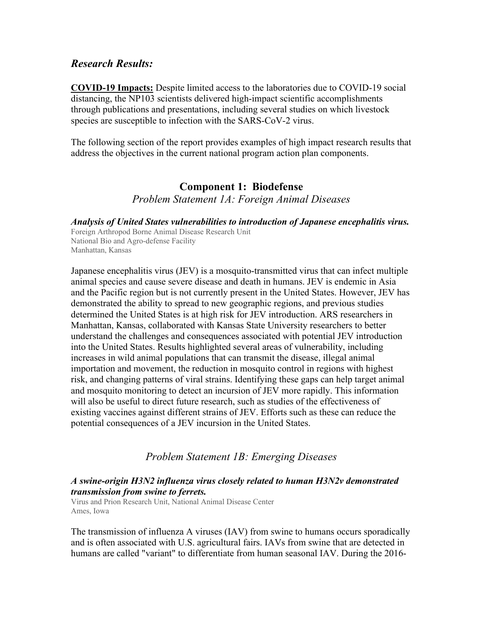## *Research Results:*

**COVID-19 Impacts:** Despite limited access to the laboratories due to COVID-19 social distancing, the NP103 scientists delivered high-impact scientific accomplishments through publications and presentations, including several studies on which livestock species are susceptible to infection with the SARS-CoV-2 virus.

The following section of the report provides examples of high impact research results that address the objectives in the current national program action plan components.

# **Component 1: Biodefense** *Problem Statement 1A: Foreign Animal Diseases*

*Analysis of United States vulnerabilities to introduction of Japanese encephalitis virus.*

Foreign Arthropod Borne Animal Disease Research Unit National Bio and Agro-defense Facility Manhattan, Kansas

Japanese encephalitis virus (JEV) is a mosquito-transmitted virus that can infect multiple animal species and cause severe disease and death in humans. JEV is endemic in Asia and the Pacific region but is not currently present in the United States. However, JEV has demonstrated the ability to spread to new geographic regions, and previous studies determined the United States is at high risk for JEV introduction. ARS researchers in Manhattan, Kansas, collaborated with Kansas State University researchers to better understand the challenges and consequences associated with potential JEV introduction into the United States. Results highlighted several areas of vulnerability, including increases in wild animal populations that can transmit the disease, illegal animal importation and movement, the reduction in mosquito control in regions with highest risk, and changing patterns of viral strains. Identifying these gaps can help target animal and mosquito monitoring to detect an incursion of JEV more rapidly. This information will also be useful to direct future research, such as studies of the effectiveness of existing vaccines against different strains of JEV. Efforts such as these can reduce the potential consequences of a JEV incursion in the United States.

## *Problem Statement 1B: Emerging Diseases*

## *A swine-origin H3N2 influenza virus closely related to human H3N2v demonstrated transmission from swine to ferrets.*

Virus and Prion Research Unit, National Animal Disease Center Ames, Iowa

The transmission of influenza A viruses (IAV) from swine to humans occurs sporadically and is often associated with U.S. agricultural fairs. IAVs from swine that are detected in humans are called "variant" to differentiate from human seasonal IAV. During the 2016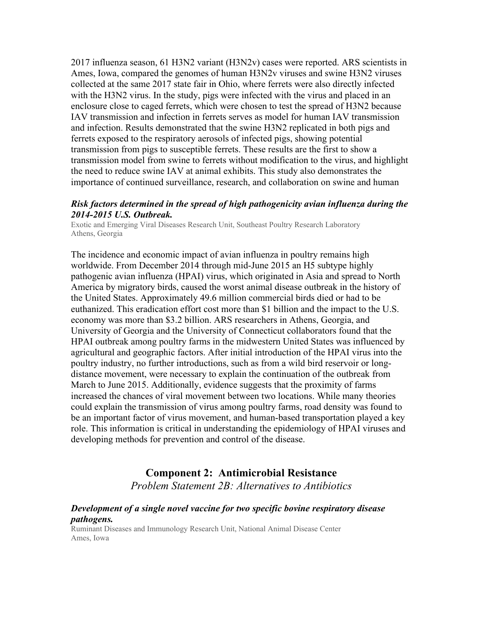2017 influenza season, 61 H3N2 variant (H3N2v) cases were reported. ARS scientists in Ames, Iowa, compared the genomes of human H3N2v viruses and swine H3N2 viruses collected at the same 2017 state fair in Ohio, where ferrets were also directly infected with the H3N2 virus. In the study, pigs were infected with the virus and placed in an enclosure close to caged ferrets, which were chosen to test the spread of H3N2 because IAV transmission and infection in ferrets serves as model for human IAV transmission and infection. Results demonstrated that the swine H3N2 replicated in both pigs and ferrets exposed to the respiratory aerosols of infected pigs, showing potential transmission from pigs to susceptible ferrets. These results are the first to show a transmission model from swine to ferrets without modification to the virus, and highlight the need to reduce swine IAV at animal exhibits. This study also demonstrates the importance of continued surveillance, research, and collaboration on swine and human

### *Risk factors determined in the spread of high pathogenicity avian influenza during the 2014-2015 U.S. Outbreak.*

Exotic and Emerging Viral Diseases Research Unit, Southeast Poultry Research Laboratory Athens, Georgia

The incidence and economic impact of avian influenza in poultry remains high worldwide. From December 2014 through mid-June 2015 an H5 subtype highly pathogenic avian influenza (HPAI) virus, which originated in Asia and spread to North America by migratory birds, caused the worst animal disease outbreak in the history of the United States. Approximately 49.6 million commercial birds died or had to be euthanized. This eradication effort cost more than \$1 billion and the impact to the U.S. economy was more than \$3.2 billion. ARS researchers in Athens, Georgia, and University of Georgia and the University of Connecticut collaborators found that the HPAI outbreak among poultry farms in the midwestern United States was influenced by agricultural and geographic factors. After initial introduction of the HPAI virus into the poultry industry, no further introductions, such as from a wild bird reservoir or longdistance movement, were necessary to explain the continuation of the outbreak from March to June 2015. Additionally, evidence suggests that the proximity of farms increased the chances of viral movement between two locations. While many theories could explain the transmission of virus among poultry farms, road density was found to be an important factor of virus movement, and human-based transportation played a key role. This information is critical in understanding the epidemiology of HPAI viruses and developing methods for prevention and control of the disease.

### **Component 2: Antimicrobial Resistance**

*Problem Statement 2B: Alternatives to Antibiotics*

### *Development of a single novel vaccine for two specific bovine respiratory disease pathogens.*

Ruminant Diseases and Immunology Research Unit, National Animal Disease Center Ames, Iowa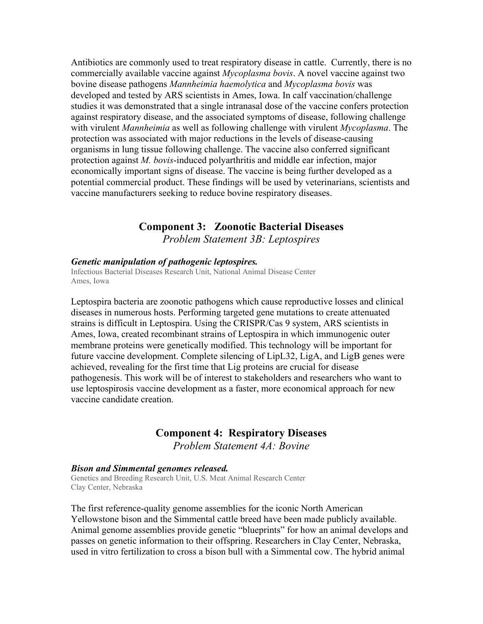Antibiotics are commonly used to treat respiratory disease in cattle. Currently, there is no commercially available vaccine against *Mycoplasma bovis*. A novel vaccine against two bovine disease pathogens *Mannheimia haemolytica* and *Mycoplasma bovis* was developed and tested by ARS scientists in Ames, Iowa. In calf vaccination/challenge studies it was demonstrated that a single intranasal dose of the vaccine confers protection against respiratory disease, and the associated symptoms of disease, following challenge with virulent *Mannheimia* as well as following challenge with virulent *Mycoplasma*. The protection was associated with major reductions in the levels of disease-causing organisms in lung tissue following challenge. The vaccine also conferred significant protection against *M. bovis*-induced polyarthritis and middle ear infection, major economically important signs of disease. The vaccine is being further developed as a potential commercial product. These findings will be used by veterinarians, scientists and vaccine manufacturers seeking to reduce bovine respiratory diseases.

## **Component 3: Zoonotic Bacterial Diseases** *Problem Statement 3B: Leptospires*

#### *Genetic manipulation of pathogenic leptospires.*

Infectious Bacterial Diseases Research Unit, National Animal Disease Center Ames, Iowa

Leptospira bacteria are zoonotic pathogens which cause reproductive losses and clinical diseases in numerous hosts. Performing targeted gene mutations to create attenuated strains is difficult in Leptospira. Using the CRISPR/Cas 9 system, ARS scientists in Ames, Iowa, created recombinant strains of Leptospira in which immunogenic outer membrane proteins were genetically modified. This technology will be important for future vaccine development. Complete silencing of LipL32, LigA, and LigB genes were achieved, revealing for the first time that Lig proteins are crucial for disease pathogenesis. This work will be of interest to stakeholders and researchers who want to use leptospirosis vaccine development as a faster, more economical approach for new vaccine candidate creation.

## **Component 4: Respiratory Diseases** *Problem Statement 4A: Bovine*

#### *Bison and Simmental genomes released.*

Genetics and Breeding Research Unit, U.S. Meat Animal Research Center Clay Center, Nebraska

The first reference-quality genome assemblies for the iconic North American Yellowstone bison and the Simmental cattle breed have been made publicly available. Animal genome assemblies provide genetic "blueprints" for how an animal develops and passes on genetic information to their offspring. Researchers in Clay Center, Nebraska, used in vitro fertilization to cross a bison bull with a Simmental cow. The hybrid animal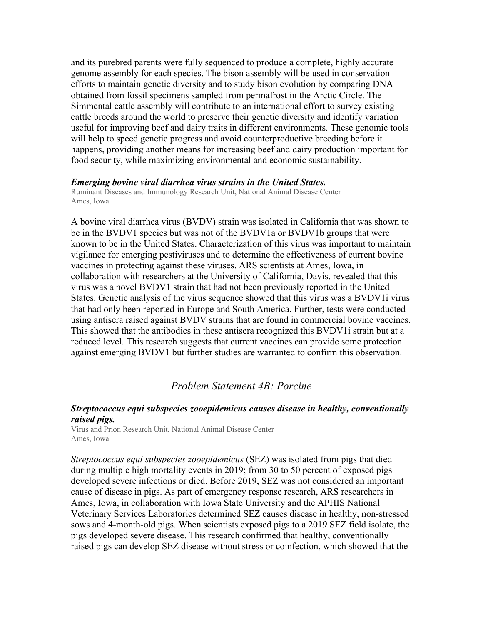and its purebred parents were fully sequenced to produce a complete, highly accurate genome assembly for each species. The bison assembly will be used in conservation efforts to maintain genetic diversity and to study bison evolution by comparing DNA obtained from fossil specimens sampled from permafrost in the Arctic Circle. The Simmental cattle assembly will contribute to an international effort to survey existing cattle breeds around the world to preserve their genetic diversity and identify variation useful for improving beef and dairy traits in different environments. These genomic tools will help to speed genetic progress and avoid counterproductive breeding before it happens, providing another means for increasing beef and dairy production important for food security, while maximizing environmental and economic sustainability.

### *Emerging bovine viral diarrhea virus strains in the United States.*

Ruminant Diseases and Immunology Research Unit, National Animal Disease Center Ames, Iowa

A bovine viral diarrhea virus (BVDV) strain was isolated in California that was shown to be in the BVDV1 species but was not of the BVDV1a or BVDV1b groups that were known to be in the United States. Characterization of this virus was important to maintain vigilance for emerging pestiviruses and to determine the effectiveness of current bovine vaccines in protecting against these viruses. ARS scientists at Ames, Iowa, in collaboration with researchers at the University of California, Davis, revealed that this virus was a novel BVDV1 strain that had not been previously reported in the United States. Genetic analysis of the virus sequence showed that this virus was a BVDV1i virus that had only been reported in Europe and South America. Further, tests were conducted using antisera raised against BVDV strains that are found in commercial bovine vaccines. This showed that the antibodies in these antisera recognized this BVDV1i strain but at a reduced level. This research suggests that current vaccines can provide some protection against emerging BVDV1 but further studies are warranted to confirm this observation.

## *Problem Statement 4B: Porcine*

### *Streptococcus equi subspecies zooepidemicus causes disease in healthy, conventionally raised pigs.*

Virus and Prion Research Unit, National Animal Disease Center Ames, Iowa

*Streptococcus equi subspecies zooepidemicus* (SEZ) was isolated from pigs that died during multiple high mortality events in 2019; from 30 to 50 percent of exposed pigs developed severe infections or died. Before 2019, SEZ was not considered an important cause of disease in pigs. As part of emergency response research, ARS researchers in Ames, Iowa, in collaboration with Iowa State University and the APHIS National Veterinary Services Laboratories determined SEZ causes disease in healthy, non-stressed sows and 4-month-old pigs. When scientists exposed pigs to a 2019 SEZ field isolate, the pigs developed severe disease. This research confirmed that healthy, conventionally raised pigs can develop SEZ disease without stress or coinfection, which showed that the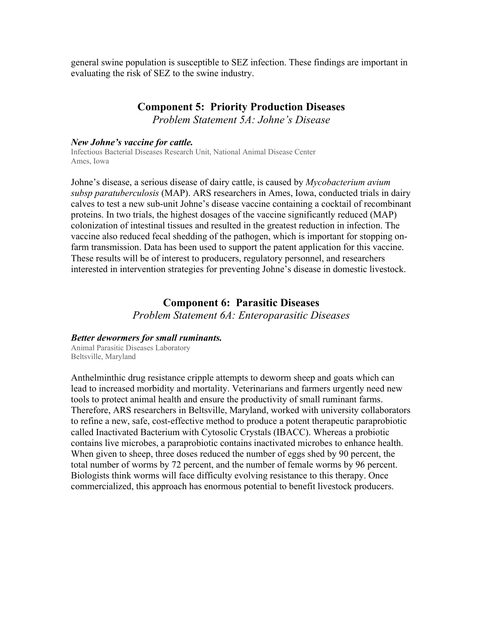general swine population is susceptible to SEZ infection. These findings are important in evaluating the risk of SEZ to the swine industry.

## **Component 5: Priority Production Diseases**

*Problem Statement 5A: Johne's Disease*

#### *New Johne's vaccine for cattle.*

Infectious Bacterial Diseases Research Unit, National Animal Disease Center Ames, Iowa

Johne's disease, a serious disease of dairy cattle, is caused by *Mycobacterium avium subsp paratuberculosis* (MAP). ARS researchers in Ames, Iowa, conducted trials in dairy calves to test a new sub-unit Johne's disease vaccine containing a cocktail of recombinant proteins. In two trials, the highest dosages of the vaccine significantly reduced (MAP) colonization of intestinal tissues and resulted in the greatest reduction in infection. The vaccine also reduced fecal shedding of the pathogen, which is important for stopping onfarm transmission. Data has been used to support the patent application for this vaccine. These results will be of interest to producers, regulatory personnel, and researchers interested in intervention strategies for preventing Johne's disease in domestic livestock.

## **Component 6: Parasitic Diseases**

*Problem Statement 6A: Enteroparasitic Diseases*

#### *Better dewormers for small ruminants.*

Animal Parasitic Diseases Laboratory Beltsville, Maryland

Anthelminthic drug resistance cripple attempts to deworm sheep and goats which can lead to increased morbidity and mortality. Veterinarians and farmers urgently need new tools to protect animal health and ensure the productivity of small ruminant farms. Therefore, ARS researchers in Beltsville, Maryland, worked with university collaborators to refine a new, safe, cost-effective method to produce a potent therapeutic paraprobiotic called Inactivated Bacterium with Cytosolic Crystals (IBACC). Whereas a probiotic contains live microbes, a paraprobiotic contains inactivated microbes to enhance health. When given to sheep, three doses reduced the number of eggs shed by 90 percent, the total number of worms by 72 percent, and the number of female worms by 96 percent. Biologists think worms will face difficulty evolving resistance to this therapy. Once commercialized, this approach has enormous potential to benefit livestock producers.